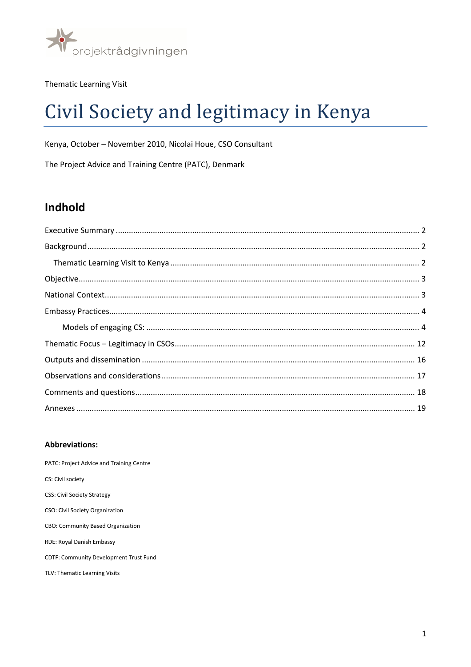

**Thematic Learning Visit** 

# Civil Society and legitimacy in Kenya

Kenya, October - November 2010, Nicolai Houe, CSO Consultant

The Project Advice and Training Centre (PATC), Denmark

# Indhold

#### **Abbreviations:**

PATC: Project Advice and Training Centre CS: Civil society **CSS: Civil Society Strategy** CSO: Civil Society Organization CBO: Community Based Organization RDE: Royal Danish Embassy CDTF: Community Development Trust Fund TLV: Thematic Learning Visits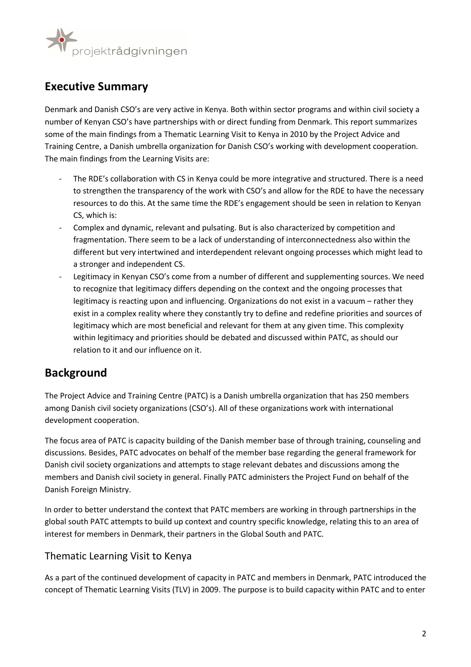

# Executive Summary

Denmark and Danish CSO's are very active in Kenya. Both within sector programs and within civil society a number of Kenyan CSO's have partnerships with or direct funding from Denmark. This report summarizes some of the main findings from a Thematic Learning Visit to Kenya in 2010 by the Project Advice and Training Centre, a Danish umbrella organization for Danish CSO's working with development cooperation. The main findings from the Learning Visits are:

- The RDE's collaboration with CS in Kenya could be more integrative and structured. There is a need to strengthen the transparency of the work with CSO's and allow for the RDE to have the necessary resources to do this. At the same time the RDE's engagement should be seen in relation to Kenyan CS, which is:
- Complex and dynamic, relevant and pulsating. But is also characterized by competition and fragmentation. There seem to be a lack of understanding of interconnectedness also within the different but very intertwined and interdependent relevant ongoing processes which might lead to a stronger and independent CS.
- Legitimacy in Kenyan CSO's come from a number of different and supplementing sources. We need to recognize that legitimacy differs depending on the context and the ongoing processes that legitimacy is reacting upon and influencing. Organizations do not exist in a vacuum – rather they exist in a complex reality where they constantly try to define and redefine priorities and sources of legitimacy which are most beneficial and relevant for them at any given time. This complexity within legitimacy and priorities should be debated and discussed within PATC, as should our relation to it and our influence on it.

# Background

The Project Advice and Training Centre (PATC) is a Danish umbrella organization that has 250 members among Danish civil society organizations (CSO's). All of these organizations work with international development cooperation.

The focus area of PATC is capacity building of the Danish member base of through training, counseling and discussions. Besides, PATC advocates on behalf of the member base regarding the general framework for Danish civil society organizations and attempts to stage relevant debates and discussions among the members and Danish civil society in general. Finally PATC administers the Project Fund on behalf of the Danish Foreign Ministry.

In order to better understand the context that PATC members are working in through partnerships in the global south PATC attempts to build up context and country specific knowledge, relating this to an area of interest for members in Denmark, their partners in the Global South and PATC.

## Thematic Learning Visit to Kenya

As a part of the continued development of capacity in PATC and members in Denmark, PATC introduced the concept of Thematic Learning Visits (TLV) in 2009. The purpose is to build capacity within PATC and to enter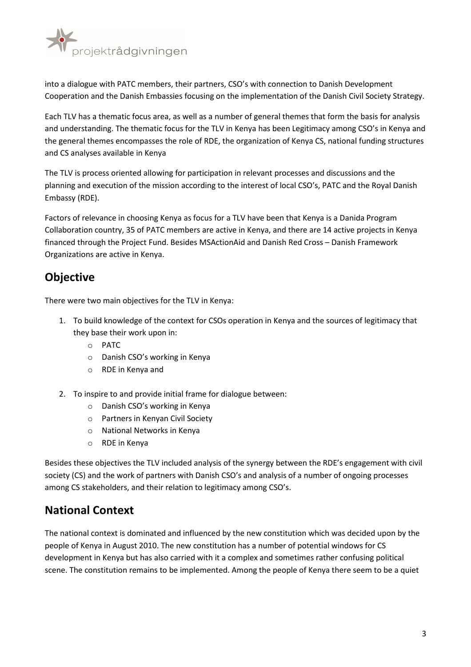

into a dialogue with PATC members, their partners, CSO's with connection to Danish Development Cooperation and the Danish Embassies focusing on the implementation of the Danish Civil Society Strategy.

Each TLV has a thematic focus area, as well as a number of general themes that form the basis for analysis and understanding. The thematic focus for the TLV in Kenya has been Legitimacy among CSO's in Kenya and the general themes encompasses the role of RDE, the organization of Kenya CS, national funding structures and CS analyses available in Kenya

The TLV is process oriented allowing for participation in relevant processes and discussions and the planning and execution of the mission according to the interest of local CSO's, PATC and the Royal Danish Embassy (RDE).

Factors of relevance in choosing Kenya as focus for a TLV have been that Kenya is a Danida Program Collaboration country, 35 of PATC members are active in Kenya, and there are 14 active projects in Kenya financed through the Project Fund. Besides MSActionAid and Danish Red Cross – Danish Framework Organizations are active in Kenya.

# **Objective**

There were two main objectives for the TLV in Kenya:

- 1. To build knowledge of the context for CSOs operation in Kenya and the sources of legitimacy that they base their work upon in:
	- o PATC
	- o Danish CSO's working in Kenya
	- o RDE in Kenya and
- 2. To inspire to and provide initial frame for dialogue between:
	- o Danish CSO's working in Kenya
	- o Partners in Kenyan Civil Society
	- o National Networks in Kenya
	- o RDE in Kenya

Besides these objectives the TLV included analysis of the synergy between the RDE's engagement with civil society (CS) and the work of partners with Danish CSO's and analysis of a number of ongoing processes among CS stakeholders, and their relation to legitimacy among CSO's.

# National Context

The national context is dominated and influenced by the new constitution which was decided upon by the people of Kenya in August 2010. The new constitution has a number of potential windows for CS development in Kenya but has also carried with it a complex and sometimes rather confusing political scene. The constitution remains to be implemented. Among the people of Kenya there seem to be a quiet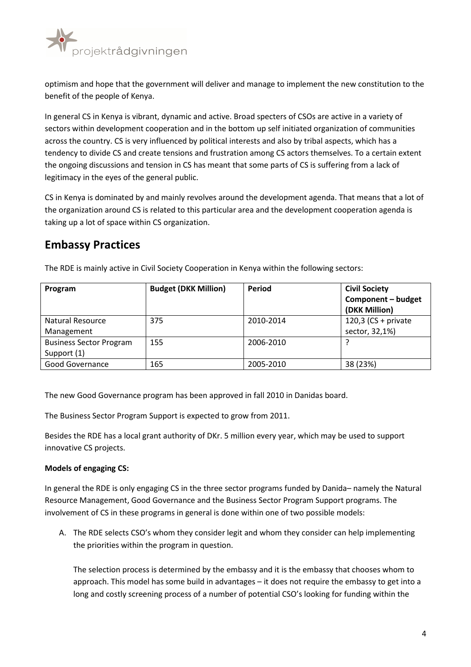

optimism and hope that the government will deliver and manage to implement the new constitution to the benefit of the people of Kenya.

In general CS in Kenya is vibrant, dynamic and active. Broad specters of CSOs are active in a variety of sectors within development cooperation and in the bottom up self initiated organization of communities across the country. CS is very influenced by political interests and also by tribal aspects, which has a tendency to divide CS and create tensions and frustration among CS actors themselves. To a certain extent the ongoing discussions and tension in CS has meant that some parts of CS is suffering from a lack of legitimacy in the eyes of the general public.

CS in Kenya is dominated by and mainly revolves around the development agenda. That means that a lot of the organization around CS is related to this particular area and the development cooperation agenda is taking up a lot of space within CS organization.

# Embassy Practices

| Program                                       | <b>Budget (DKK Million)</b> | <b>Period</b> | <b>Civil Society</b><br>Component - budget<br>(DKK Million) |
|-----------------------------------------------|-----------------------------|---------------|-------------------------------------------------------------|
| Natural Resource<br>Management                | 375                         | 2010-2014     | 120,3 (CS + private<br>sector, 32,1%)                       |
| <b>Business Sector Program</b><br>Support (1) | 155                         | 2006-2010     |                                                             |
| Good Governance                               | 165                         | 2005-2010     | 38 (23%)                                                    |

The RDE is mainly active in Civil Society Cooperation in Kenya within the following sectors:

The new Good Governance program has been approved in fall 2010 in Danidas board.

The Business Sector Program Support is expected to grow from 2011.

Besides the RDE has a local grant authority of DKr. 5 million every year, which may be used to support innovative CS projects.

## Models of engaging CS:

In general the RDE is only engaging CS in the three sector programs funded by Danida– namely the Natural Resource Management, Good Governance and the Business Sector Program Support programs. The involvement of CS in these programs in general is done within one of two possible models:

A. The RDE selects CSO's whom they consider legit and whom they consider can help implementing the priorities within the program in question.

The selection process is determined by the embassy and it is the embassy that chooses whom to approach. This model has some build in advantages – it does not require the embassy to get into a long and costly screening process of a number of potential CSO's looking for funding within the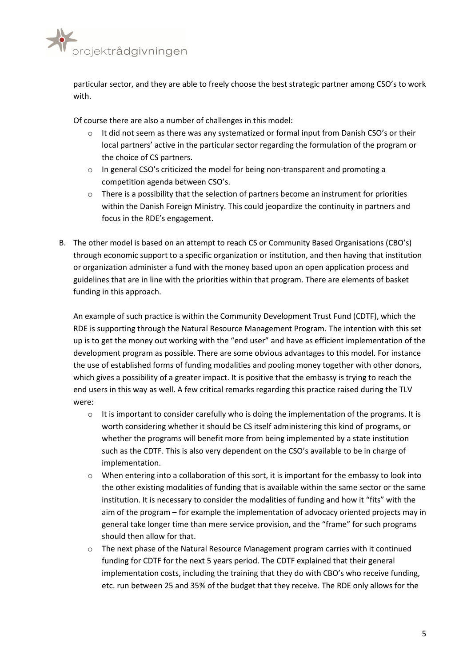

particular sector, and they are able to freely choose the best strategic partner among CSO's to work with.

Of course there are also a number of challenges in this model:

- $\circ$  It did not seem as there was any systematized or formal input from Danish CSO's or their local partners' active in the particular sector regarding the formulation of the program or the choice of CS partners.
- $\circ$  In general CSO's criticized the model for being non-transparent and promoting a competition agenda between CSO's.
- $\circ$  There is a possibility that the selection of partners become an instrument for priorities within the Danish Foreign Ministry. This could jeopardize the continuity in partners and focus in the RDE's engagement.
- B. The other model is based on an attempt to reach CS or Community Based Organisations (CBO's) through economic support to a specific organization or institution, and then having that institution or organization administer a fund with the money based upon an open application process and guidelines that are in line with the priorities within that program. There are elements of basket funding in this approach.

An example of such practice is within the Community Development Trust Fund (CDTF), which the RDE is supporting through the Natural Resource Management Program. The intention with this set up is to get the money out working with the "end user" and have as efficient implementation of the development program as possible. There are some obvious advantages to this model. For instance the use of established forms of funding modalities and pooling money together with other donors, which gives a possibility of a greater impact. It is positive that the embassy is trying to reach the end users in this way as well. A few critical remarks regarding this practice raised during the TLV were:

- $\circ$  It is important to consider carefully who is doing the implementation of the programs. It is worth considering whether it should be CS itself administering this kind of programs, or whether the programs will benefit more from being implemented by a state institution such as the CDTF. This is also very dependent on the CSO's available to be in charge of implementation.
- $\circ$  When entering into a collaboration of this sort, it is important for the embassy to look into the other existing modalities of funding that is available within the same sector or the same institution. It is necessary to consider the modalities of funding and how it "fits" with the aim of the program – for example the implementation of advocacy oriented projects may in general take longer time than mere service provision, and the "frame" for such programs should then allow for that.
- o The next phase of the Natural Resource Management program carries with it continued funding for CDTF for the next 5 years period. The CDTF explained that their general implementation costs, including the training that they do with CBO's who receive funding, etc. run between 25 and 35% of the budget that they receive. The RDE only allows for the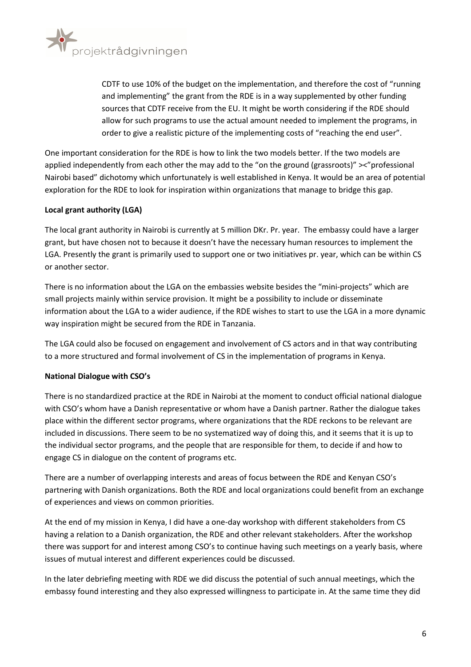

CDTF to use 10% of the budget on the implementation, and therefore the cost of "running and implementing" the grant from the RDE is in a way supplemented by other funding sources that CDTF receive from the EU. It might be worth considering if the RDE should allow for such programs to use the actual amount needed to implement the programs, in order to give a realistic picture of the implementing costs of "reaching the end user".

One important consideration for the RDE is how to link the two models better. If the two models are applied independently from each other the may add to the "on the ground (grassroots)" ><"professional Nairobi based" dichotomy which unfortunately is well established in Kenya. It would be an area of potential exploration for the RDE to look for inspiration within organizations that manage to bridge this gap.

## Local grant authority (LGA)

The local grant authority in Nairobi is currently at 5 million DKr. Pr. year. The embassy could have a larger grant, but have chosen not to because it doesn't have the necessary human resources to implement the LGA. Presently the grant is primarily used to support one or two initiatives pr. year, which can be within CS or another sector.

There is no information about the LGA on the embassies website besides the "mini-projects" which are small projects mainly within service provision. It might be a possibility to include or disseminate information about the LGA to a wider audience, if the RDE wishes to start to use the LGA in a more dynamic way inspiration might be secured from the RDE in Tanzania.

The LGA could also be focused on engagement and involvement of CS actors and in that way contributing to a more structured and formal involvement of CS in the implementation of programs in Kenya.

## National Dialogue with CSO's

There is no standardized practice at the RDE in Nairobi at the moment to conduct official national dialogue with CSO's whom have a Danish representative or whom have a Danish partner. Rather the dialogue takes place within the different sector programs, where organizations that the RDE reckons to be relevant are included in discussions. There seem to be no systematized way of doing this, and it seems that it is up to the individual sector programs, and the people that are responsible for them, to decide if and how to engage CS in dialogue on the content of programs etc.

There are a number of overlapping interests and areas of focus between the RDE and Kenyan CSO's partnering with Danish organizations. Both the RDE and local organizations could benefit from an exchange of experiences and views on common priorities.

At the end of my mission in Kenya, I did have a one-day workshop with different stakeholders from CS having a relation to a Danish organization, the RDE and other relevant stakeholders. After the workshop there was support for and interest among CSO's to continue having such meetings on a yearly basis, where issues of mutual interest and different experiences could be discussed.

In the later debriefing meeting with RDE we did discuss the potential of such annual meetings, which the embassy found interesting and they also expressed willingness to participate in. At the same time they did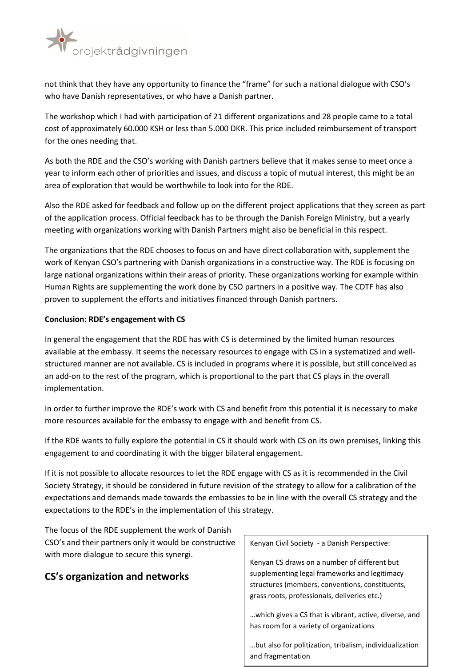

not think that they have any opportunity to finance the "frame" for such a national dialogue with CSO's who have Danish representatives, or who have a Danish partner.

The workshop which I had with participation of 21 different organizations and 28 people came to a total cost of approximately 60.000 KSH or less than 5.000 DKR. This price included reimbursement of transport for the ones needing that.

As both the RDE and the CSO's working with Danish partners believe that it makes sense to meet once a year to inform each other of priorities and issues, and discuss a topic of mutual interest, this might be an area of exploration that would be worthwhile to look into for the RDE.

Also the RDE asked for feedback and follow up on the different project applications that they screen as part of the application process. Official feedback has to be through the Danish Foreign Ministry, but a yearly meeting with organizations working with Danish Partners might also be beneficial in this respect.

The organizations that the RDE chooses to focus on and have direct collaboration with, supplement the work of Kenyan CSO's partnering with Danish organizations in a constructive way. The RDE is focusing on large national organizations within their areas of priority. These organizations working for example within Human Rights are supplementing the work done by CSO partners in a positive way. The CDTF has also proven to supplement the efforts and initiatives financed through Danish partners.

## Conclusion: RDE's engagement with CS

In general the engagement that the RDE has with CS is determined by the limited human resources available at the embassy. It seems the necessary resources to engage with CS in a systematized and wellstructured manner are not available. CS is included in programs where it is possible, but still conceived as an add-on to the rest of the program, which is proportional to the part that CS plays in the overall implementation.

In order to further improve the RDE's work with CS and benefit from this potential it is necessary to make more resources available for the embassy to engage with and benefit from CS.

If the RDE wants to fully explore the potential in CS it should work with CS on its own premises, linking this engagement to and coordinating it with the bigger bilateral engagement.

If it is not possible to allocate resources to let the RDE engage with CS as it is recommended in the Civil Society Strategy, it should be considered in future revision of the strategy to allow for a calibration of the expectations and demands made towards the embassies to be in line with the overall CS strategy and the expectations to the RDE's in the implementation of this strategy.

The focus of the RDE supplement the work of Danish CSO's and their partners only it would be constructive with more dialogue to secure this synergi.

# CS's organization and networks

Kenyan Civil Society - a Danish Perspective:

Kenyan CS draws on a number of different but supplementing legal frameworks and legitimacy structures (members, conventions, constituents, grass roots, professionals, deliveries etc.)

…which gives a CS that is vibrant, active, diverse, and has room for a variety of organizations

…but also for politization, tribalism, individualization and fragmentation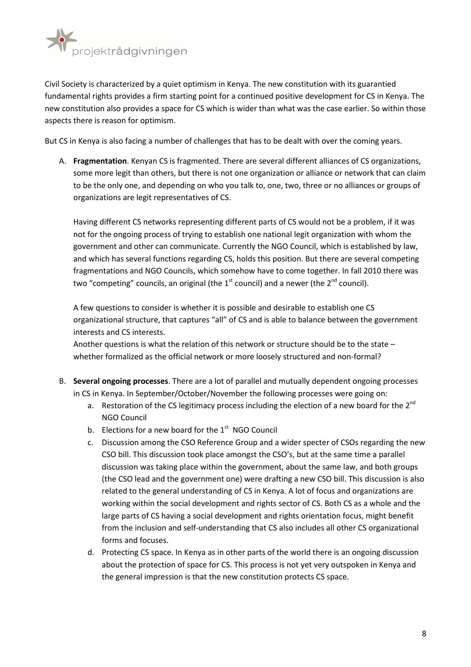

Civil Society is characterized by a quiet optimism in Kenya. The new constitution with its guarantied fundamental rights provides a firm starting point for a continued positive development for CS in Kenya. The new constitution also provides a space for CS which is wider than what was the case earlier. So within those aspects there is reason for optimism.

But CS in Kenya is also facing a number of challenges that has to be dealt with over the coming years.

A. Fragmentation. Kenyan CS is fragmented. There are several different alliances of CS organizations, some more legit than others, but there is not one organization or alliance or network that can claim to be the only one, and depending on who you talk to, one, two, three or no alliances or groups of organizations are legit representatives of CS.

Having different CS networks representing different parts of CS would not be a problem, if it was not for the ongoing process of trying to establish one national legit organization with whom the government and other can communicate. Currently the NGO Council, which is established by law, and which has several functions regarding CS, holds this position. But there are several competing fragmentations and NGO Councils, which somehow have to come together. In fall 2010 there was two "competing" councils, an original (the  $1<sup>st</sup>$  council) and a newer (the  $2<sup>nd</sup>$  council).

A few questions to consider is whether it is possible and desirable to establish one CS organizational structure, that captures "all" of CS and is able to balance between the government interests and CS interests.

Another questions is what the relation of this network or structure should be to the state – whether formalized as the official network or more loosely structured and non-formal?

- B. Several ongoing processes. There are a lot of parallel and mutually dependent ongoing processes in CS in Kenya. In September/October/November the following processes were going on:
	- a. Restoration of the CS legitimacy process including the election of a new board for the  $2^{nd}$ NGO Council
	- b. Elections for a new board for the  $1<sup>st</sup>$  NGO Council
	- c. Discussion among the CSO Reference Group and a wider specter of CSOs regarding the new CSO bill. This discussion took place amongst the CSO's, but at the same time a parallel discussion was taking place within the government, about the same law, and both groups (the CSO lead and the government one) were drafting a new CSO bill. This discussion is also related to the general understanding of CS in Kenya. A lot of focus and organizations are working within the social development and rights sector of CS. Both CS as a whole and the large parts of CS having a social development and rights orientation focus, might benefit from the inclusion and self-understanding that CS also includes all other CS organizational forms and focuses.
	- d. Protecting CS space. In Kenya as in other parts of the world there is an ongoing discussion about the protection of space for CS. This process is not yet very outspoken in Kenya and the general impression is that the new constitution protects CS space.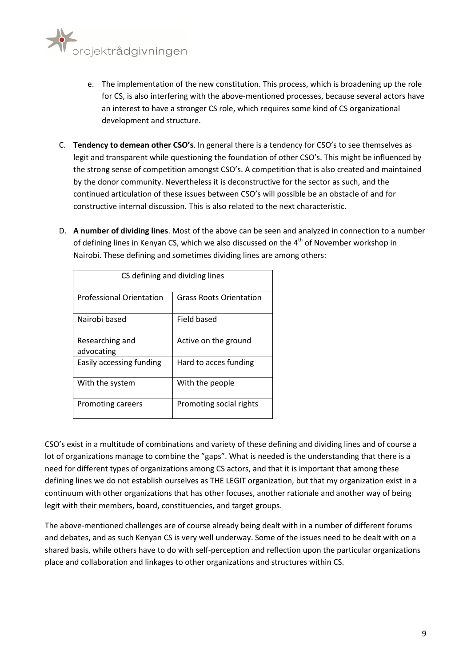

- e. The implementation of the new constitution. This process, which is broadening up the role for CS, is also interfering with the above-mentioned processes, because several actors have an interest to have a stronger CS role, which requires some kind of CS organizational development and structure.
- C. Tendency to demean other CSO's. In general there is a tendency for CSO's to see themselves as legit and transparent while questioning the foundation of other CSO's. This might be influenced by the strong sense of competition amongst CSO's. A competition that is also created and maintained by the donor community. Nevertheless it is deconstructive for the sector as such, and the continued articulation of these issues between CSO's will possible be an obstacle of and for constructive internal discussion. This is also related to the next characteristic.
- D. A number of dividing lines. Most of the above can be seen and analyzed in connection to a number of defining lines in Kenyan CS, which we also discussed on the 4<sup>th</sup> of November workshop in Nairobi. These defining and sometimes dividing lines are among others:

| CS defining and dividing lines  |                                |  |
|---------------------------------|--------------------------------|--|
| <b>Professional Orientation</b> | <b>Grass Roots Orientation</b> |  |
| Nairobi based                   | <b>Field based</b>             |  |
| Researching and<br>advocating   | Active on the ground           |  |
| Easily accessing funding        | Hard to acces funding          |  |
| With the system                 | With the people                |  |
| Promoting careers               | Promoting social rights        |  |

CSO's exist in a multitude of combinations and variety of these defining and dividing lines and of course a lot of organizations manage to combine the "gaps". What is needed is the understanding that there is a need for different types of organizations among CS actors, and that it is important that among these defining lines we do not establish ourselves as THE LEGIT organization, but that my organization exist in a continuum with other organizations that has other focuses, another rationale and another way of being legit with their members, board, constituencies, and target groups.

The above-mentioned challenges are of course already being dealt with in a number of different forums and debates, and as such Kenyan CS is very well underway. Some of the issues need to be dealt with on a shared basis, while others have to do with self-perception and reflection upon the particular organizations place and collaboration and linkages to other organizations and structures within CS.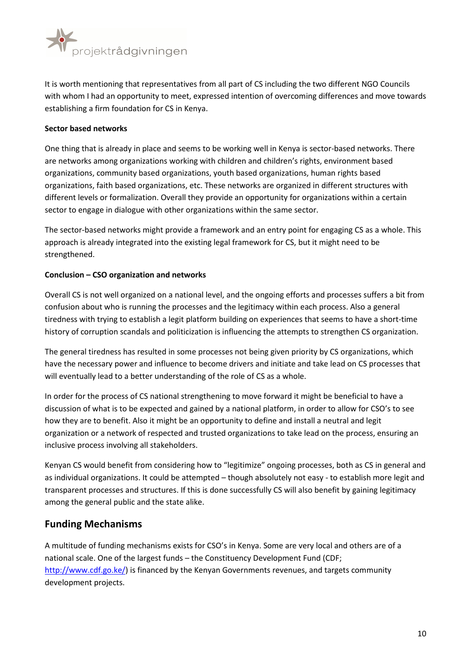

It is worth mentioning that representatives from all part of CS including the two different NGO Councils with whom I had an opportunity to meet, expressed intention of overcoming differences and move towards establishing a firm foundation for CS in Kenya.

## Sector based networks

One thing that is already in place and seems to be working well in Kenya is sector-based networks. There are networks among organizations working with children and children's rights, environment based organizations, community based organizations, youth based organizations, human rights based organizations, faith based organizations, etc. These networks are organized in different structures with different levels or formalization. Overall they provide an opportunity for organizations within a certain sector to engage in dialogue with other organizations within the same sector.

The sector-based networks might provide a framework and an entry point for engaging CS as a whole. This approach is already integrated into the existing legal framework for CS, but it might need to be strengthened.

## Conclusion – CSO organization and networks

Overall CS is not well organized on a national level, and the ongoing efforts and processes suffers a bit from confusion about who is running the processes and the legitimacy within each process. Also a general tiredness with trying to establish a legit platform building on experiences that seems to have a short-time history of corruption scandals and politicization is influencing the attempts to strengthen CS organization.

The general tiredness has resulted in some processes not being given priority by CS organizations, which have the necessary power and influence to become drivers and initiate and take lead on CS processes that will eventually lead to a better understanding of the role of CS as a whole.

In order for the process of CS national strengthening to move forward it might be beneficial to have a discussion of what is to be expected and gained by a national platform, in order to allow for CSO's to see how they are to benefit. Also it might be an opportunity to define and install a neutral and legit organization or a network of respected and trusted organizations to take lead on the process, ensuring an inclusive process involving all stakeholders.

Kenyan CS would benefit from considering how to "legitimize" ongoing processes, both as CS in general and as individual organizations. It could be attempted – though absolutely not easy - to establish more legit and transparent processes and structures. If this is done successfully CS will also benefit by gaining legitimacy among the general public and the state alike.

## Funding Mechanisms

A multitude of funding mechanisms exists for CSO's in Kenya. Some are very local and others are of a national scale. One of the largest funds – the Constituency Development Fund (CDF; http://www.cdf.go.ke/) is financed by the Kenyan Governments revenues, and targets community development projects.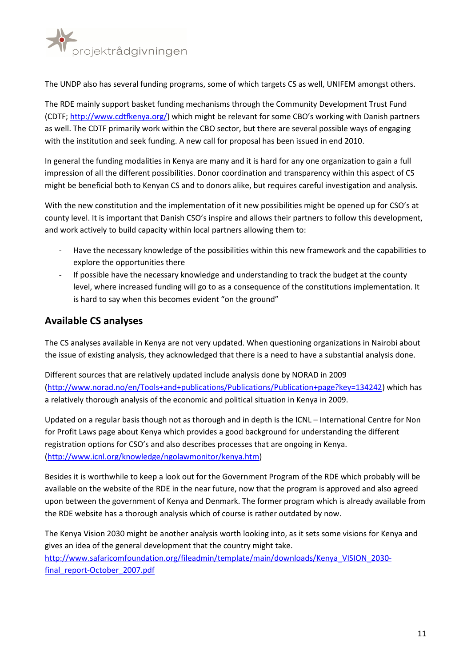

The UNDP also has several funding programs, some of which targets CS as well, UNIFEM amongst others.

The RDE mainly support basket funding mechanisms through the Community Development Trust Fund (CDTF; http://www.cdtfkenya.org/) which might be relevant for some CBO's working with Danish partners as well. The CDTF primarily work within the CBO sector, but there are several possible ways of engaging with the institution and seek funding. A new call for proposal has been issued in end 2010.

In general the funding modalities in Kenya are many and it is hard for any one organization to gain a full impression of all the different possibilities. Donor coordination and transparency within this aspect of CS might be beneficial both to Kenyan CS and to donors alike, but requires careful investigation and analysis.

With the new constitution and the implementation of it new possibilities might be opened up for CSO's at county level. It is important that Danish CSO's inspire and allows their partners to follow this development, and work actively to build capacity within local partners allowing them to:

- Have the necessary knowledge of the possibilities within this new framework and the capabilities to explore the opportunities there
- If possible have the necessary knowledge and understanding to track the budget at the county level, where increased funding will go to as a consequence of the constitutions implementation. It is hard to say when this becomes evident "on the ground"

# Available CS analyses

The CS analyses available in Kenya are not very updated. When questioning organizations in Nairobi about the issue of existing analysis, they acknowledged that there is a need to have a substantial analysis done.

Different sources that are relatively updated include analysis done by NORAD in 2009 (http://www.norad.no/en/Tools+and+publications/Publications/Publication+page?key=134242) which has a relatively thorough analysis of the economic and political situation in Kenya in 2009.

Updated on a regular basis though not as thorough and in depth is the ICNL – International Centre for Non for Profit Laws page about Kenya which provides a good background for understanding the different registration options for CSO's and also describes processes that are ongoing in Kenya. (http://www.icnl.org/knowledge/ngolawmonitor/kenya.htm)

Besides it is worthwhile to keep a look out for the Government Program of the RDE which probably will be available on the website of the RDE in the near future, now that the program is approved and also agreed upon between the government of Kenya and Denmark. The former program which is already available from the RDE website has a thorough analysis which of course is rather outdated by now.

The Kenya Vision 2030 might be another analysis worth looking into, as it sets some visions for Kenya and gives an idea of the general development that the country might take. http://www.safaricomfoundation.org/fileadmin/template/main/downloads/Kenya\_VISION\_2030 final\_report-October\_2007.pdf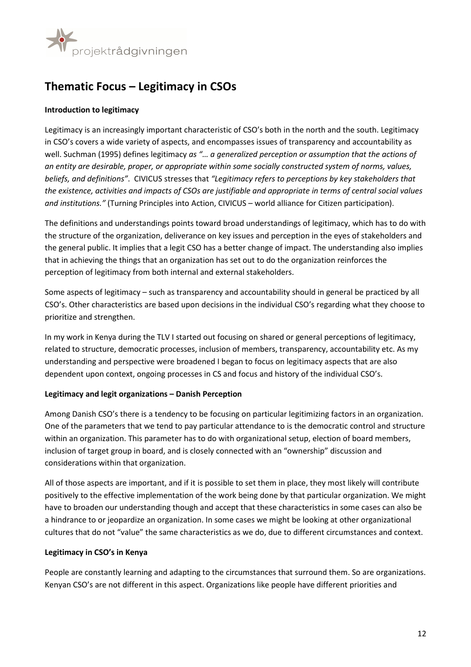

# Thematic Focus – Legitimacy in CSOs

## Introduction to legitimacy

Legitimacy is an increasingly important characteristic of CSO's both in the north and the south. Legitimacy in CSO's covers a wide variety of aspects, and encompasses issues of transparency and accountability as well. Suchman (1995) defines legitimacy as "... a generalized perception or assumption that the actions of an entity are desirable, proper, or appropriate within some socially constructed system of norms, values, beliefs, and definitions". CIVICUS stresses that "Legitimacy refers to perceptions by key stakeholders that the existence, activities and impacts of CSOs are justifiable and appropriate in terms of central social values and institutions." (Turning Principles into Action, CIVICUS – world alliance for Citizen participation).

The definitions and understandings points toward broad understandings of legitimacy, which has to do with the structure of the organization, deliverance on key issues and perception in the eyes of stakeholders and the general public. It implies that a legit CSO has a better change of impact. The understanding also implies that in achieving the things that an organization has set out to do the organization reinforces the perception of legitimacy from both internal and external stakeholders.

Some aspects of legitimacy – such as transparency and accountability should in general be practiced by all CSO's. Other characteristics are based upon decisions in the individual CSO's regarding what they choose to prioritize and strengthen.

In my work in Kenya during the TLV I started out focusing on shared or general perceptions of legitimacy, related to structure, democratic processes, inclusion of members, transparency, accountability etc. As my understanding and perspective were broadened I began to focus on legitimacy aspects that are also dependent upon context, ongoing processes in CS and focus and history of the individual CSO's.

## Legitimacy and legit organizations – Danish Perception

Among Danish CSO's there is a tendency to be focusing on particular legitimizing factors in an organization. One of the parameters that we tend to pay particular attendance to is the democratic control and structure within an organization. This parameter has to do with organizational setup, election of board members, inclusion of target group in board, and is closely connected with an "ownership" discussion and considerations within that organization.

All of those aspects are important, and if it is possible to set them in place, they most likely will contribute positively to the effective implementation of the work being done by that particular organization. We might have to broaden our understanding though and accept that these characteristics in some cases can also be a hindrance to or jeopardize an organization. In some cases we might be looking at other organizational cultures that do not "value" the same characteristics as we do, due to different circumstances and context.

## Legitimacy in CSO's in Kenya

People are constantly learning and adapting to the circumstances that surround them. So are organizations. Kenyan CSO's are not different in this aspect. Organizations like people have different priorities and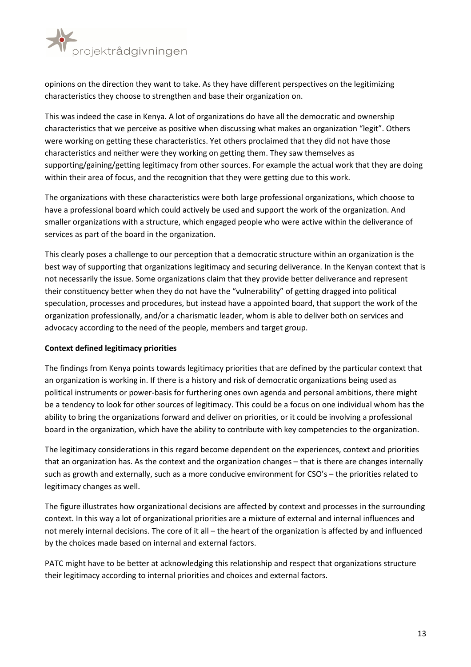

opinions on the direction they want to take. As they have different perspectives on the legitimizing characteristics they choose to strengthen and base their organization on.

This was indeed the case in Kenya. A lot of organizations do have all the democratic and ownership characteristics that we perceive as positive when discussing what makes an organization "legit". Others were working on getting these characteristics. Yet others proclaimed that they did not have those characteristics and neither were they working on getting them. They saw themselves as supporting/gaining/getting legitimacy from other sources. For example the actual work that they are doing within their area of focus, and the recognition that they were getting due to this work.

The organizations with these characteristics were both large professional organizations, which choose to have a professional board which could actively be used and support the work of the organization. And smaller organizations with a structure, which engaged people who were active within the deliverance of services as part of the board in the organization.

This clearly poses a challenge to our perception that a democratic structure within an organization is the best way of supporting that organizations legitimacy and securing deliverance. In the Kenyan context that is not necessarily the issue. Some organizations claim that they provide better deliverance and represent their constituency better when they do not have the "vulnerability" of getting dragged into political speculation, processes and procedures, but instead have a appointed board, that support the work of the organization professionally, and/or a charismatic leader, whom is able to deliver both on services and advocacy according to the need of the people, members and target group.

#### Context defined legitimacy priorities

The findings from Kenya points towards legitimacy priorities that are defined by the particular context that an organization is working in. If there is a history and risk of democratic organizations being used as political instruments or power-basis for furthering ones own agenda and personal ambitions, there might be a tendency to look for other sources of legitimacy. This could be a focus on one individual whom has the ability to bring the organizations forward and deliver on priorities, or it could be involving a professional board in the organization, which have the ability to contribute with key competencies to the organization.

The legitimacy considerations in this regard become dependent on the experiences, context and priorities that an organization has. As the context and the organization changes – that is there are changes internally such as growth and externally, such as a more conducive environment for CSO's – the priorities related to legitimacy changes as well.

The figure illustrates how organizational decisions are affected by context and processes in the surrounding context. In this way a lot of organizational priorities are a mixture of external and internal influences and not merely internal decisions. The core of it all – the heart of the organization is affected by and influenced by the choices made based on internal and external factors.

PATC might have to be better at acknowledging this relationship and respect that organizations structure their legitimacy according to internal priorities and choices and external factors.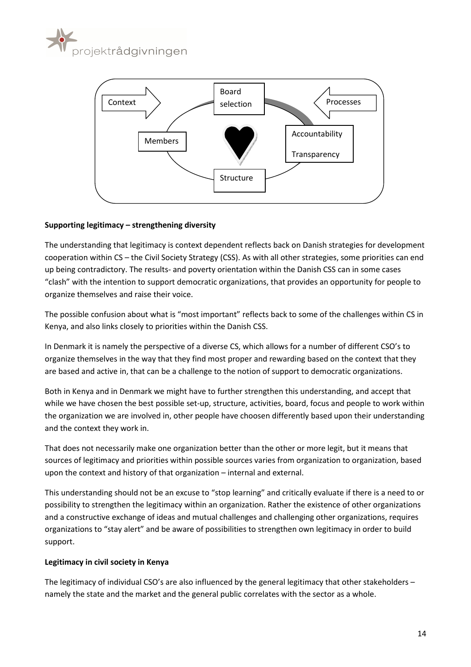



## Supporting legitimacy – strengthening diversity

The understanding that legitimacy is context dependent reflects back on Danish strategies for development cooperation within CS – the Civil Society Strategy (CSS). As with all other strategies, some priorities can end up being contradictory. The results- and poverty orientation within the Danish CSS can in some cases "clash" with the intention to support democratic organizations, that provides an opportunity for people to organize themselves and raise their voice.

The possible confusion about what is "most important" reflects back to some of the challenges within CS in Kenya, and also links closely to priorities within the Danish CSS.

In Denmark it is namely the perspective of a diverse CS, which allows for a number of different CSO's to organize themselves in the way that they find most proper and rewarding based on the context that they are based and active in, that can be a challenge to the notion of support to democratic organizations.

Both in Kenya and in Denmark we might have to further strengthen this understanding, and accept that while we have chosen the best possible set-up, structure, activities, board, focus and people to work within the organization we are involved in, other people have choosen differently based upon their understanding and the context they work in.

That does not necessarily make one organization better than the other or more legit, but it means that sources of legitimacy and priorities within possible sources varies from organization to organization, based upon the context and history of that organization – internal and external.

This understanding should not be an excuse to "stop learning" and critically evaluate if there is a need to or possibility to strengthen the legitimacy within an organization. Rather the existence of other organizations and a constructive exchange of ideas and mutual challenges and challenging other organizations, requires organizations to "stay alert" and be aware of possibilities to strengthen own legitimacy in order to build support.

#### Legitimacy in civil society in Kenya

The legitimacy of individual CSO's are also influenced by the general legitimacy that other stakeholders – namely the state and the market and the general public correlates with the sector as a whole.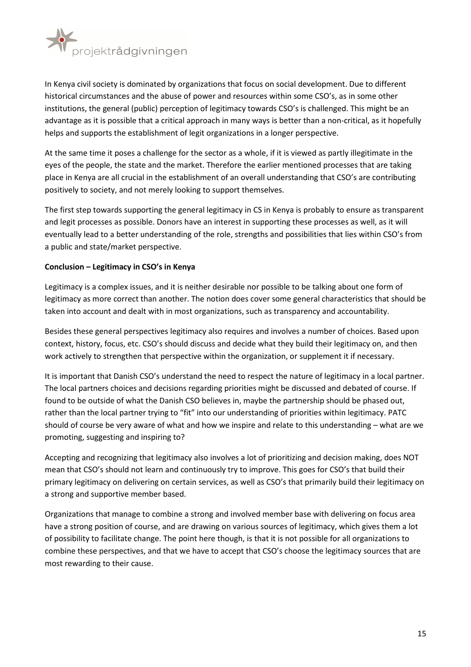

In Kenya civil society is dominated by organizations that focus on social development. Due to different historical circumstances and the abuse of power and resources within some CSO's, as in some other institutions, the general (public) perception of legitimacy towards CSO's is challenged. This might be an advantage as it is possible that a critical approach in many ways is better than a non-critical, as it hopefully helps and supports the establishment of legit organizations in a longer perspective.

At the same time it poses a challenge for the sector as a whole, if it is viewed as partly illegitimate in the eyes of the people, the state and the market. Therefore the earlier mentioned processes that are taking place in Kenya are all crucial in the establishment of an overall understanding that CSO's are contributing positively to society, and not merely looking to support themselves.

The first step towards supporting the general legitimacy in CS in Kenya is probably to ensure as transparent and legit processes as possible. Donors have an interest in supporting these processes as well, as it will eventually lead to a better understanding of the role, strengths and possibilities that lies within CSO's from a public and state/market perspective.

## Conclusion – Legitimacy in CSO's in Kenya

Legitimacy is a complex issues, and it is neither desirable nor possible to be talking about one form of legitimacy as more correct than another. The notion does cover some general characteristics that should be taken into account and dealt with in most organizations, such as transparency and accountability.

Besides these general perspectives legitimacy also requires and involves a number of choices. Based upon context, history, focus, etc. CSO's should discuss and decide what they build their legitimacy on, and then work actively to strengthen that perspective within the organization, or supplement it if necessary.

It is important that Danish CSO's understand the need to respect the nature of legitimacy in a local partner. The local partners choices and decisions regarding priorities might be discussed and debated of course. If found to be outside of what the Danish CSO believes in, maybe the partnership should be phased out, rather than the local partner trying to "fit" into our understanding of priorities within legitimacy. PATC should of course be very aware of what and how we inspire and relate to this understanding – what are we promoting, suggesting and inspiring to?

Accepting and recognizing that legitimacy also involves a lot of prioritizing and decision making, does NOT mean that CSO's should not learn and continuously try to improve. This goes for CSO's that build their primary legitimacy on delivering on certain services, as well as CSO's that primarily build their legitimacy on a strong and supportive member based.

Organizations that manage to combine a strong and involved member base with delivering on focus area have a strong position of course, and are drawing on various sources of legitimacy, which gives them a lot of possibility to facilitate change. The point here though, is that it is not possible for all organizations to combine these perspectives, and that we have to accept that CSO's choose the legitimacy sources that are most rewarding to their cause.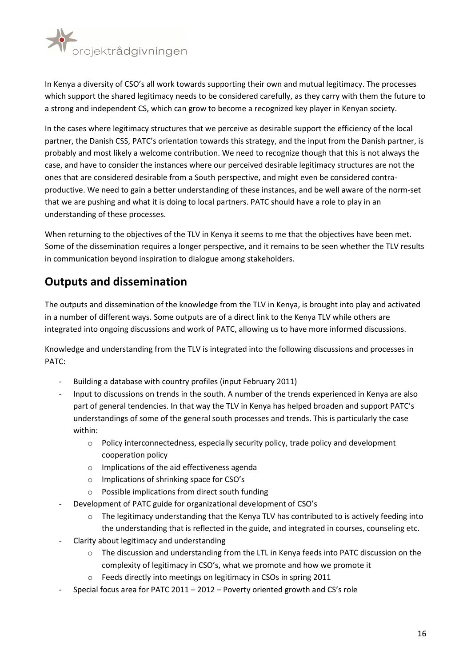

In Kenya a diversity of CSO's all work towards supporting their own and mutual legitimacy. The processes which support the shared legitimacy needs to be considered carefully, as they carry with them the future to a strong and independent CS, which can grow to become a recognized key player in Kenyan society.

In the cases where legitimacy structures that we perceive as desirable support the efficiency of the local partner, the Danish CSS, PATC's orientation towards this strategy, and the input from the Danish partner, is probably and most likely a welcome contribution. We need to recognize though that this is not always the case, and have to consider the instances where our perceived desirable legitimacy structures are not the ones that are considered desirable from a South perspective, and might even be considered contraproductive. We need to gain a better understanding of these instances, and be well aware of the norm-set that we are pushing and what it is doing to local partners. PATC should have a role to play in an understanding of these processes.

When returning to the objectives of the TLV in Kenya it seems to me that the objectives have been met. Some of the dissemination requires a longer perspective, and it remains to be seen whether the TLV results in communication beyond inspiration to dialogue among stakeholders.

# Outputs and dissemination

The outputs and dissemination of the knowledge from the TLV in Kenya, is brought into play and activated in a number of different ways. Some outputs are of a direct link to the Kenya TLV while others are integrated into ongoing discussions and work of PATC, allowing us to have more informed discussions.

Knowledge and understanding from the TLV is integrated into the following discussions and processes in PATC:

- Building a database with country profiles (input February 2011)
- Input to discussions on trends in the south. A number of the trends experienced in Kenya are also part of general tendencies. In that way the TLV in Kenya has helped broaden and support PATC's understandings of some of the general south processes and trends. This is particularly the case within:
	- o Policy interconnectedness, especially security policy, trade policy and development cooperation policy
	- o Implications of the aid effectiveness agenda
	- o Implications of shrinking space for CSO's
	- o Possible implications from direct south funding
- Development of PATC guide for organizational development of CSO's
	- o The legitimacy understanding that the Kenya TLV has contributed to is actively feeding into the understanding that is reflected in the guide, and integrated in courses, counseling etc.
- Clarity about legitimacy and understanding
	- $\circ$  The discussion and understanding from the LTL in Kenya feeds into PATC discussion on the complexity of legitimacy in CSO's, what we promote and how we promote it
	- o Feeds directly into meetings on legitimacy in CSOs in spring 2011
- Special focus area for PATC 2011 2012 Poverty oriented growth and CS's role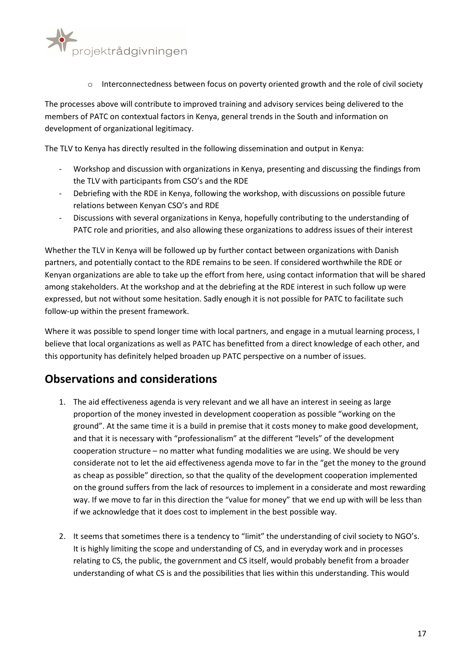

 $\circ$  Interconnectedness between focus on poverty oriented growth and the role of civil society

The processes above will contribute to improved training and advisory services being delivered to the members of PATC on contextual factors in Kenya, general trends in the South and information on development of organizational legitimacy.

The TLV to Kenya has directly resulted in the following dissemination and output in Kenya:

- Workshop and discussion with organizations in Kenya, presenting and discussing the findings from the TLV with participants from CSO's and the RDE
- Debriefing with the RDE in Kenya, following the workshop, with discussions on possible future relations between Kenyan CSO's and RDE
- Discussions with several organizations in Kenya, hopefully contributing to the understanding of PATC role and priorities, and also allowing these organizations to address issues of their interest

Whether the TLV in Kenya will be followed up by further contact between organizations with Danish partners, and potentially contact to the RDE remains to be seen. If considered worthwhile the RDE or Kenyan organizations are able to take up the effort from here, using contact information that will be shared among stakeholders. At the workshop and at the debriefing at the RDE interest in such follow up were expressed, but not without some hesitation. Sadly enough it is not possible for PATC to facilitate such follow-up within the present framework.

Where it was possible to spend longer time with local partners, and engage in a mutual learning process, I believe that local organizations as well as PATC has benefitted from a direct knowledge of each other, and this opportunity has definitely helped broaden up PATC perspective on a number of issues.

# Observations and considerations

- 1. The aid effectiveness agenda is very relevant and we all have an interest in seeing as large proportion of the money invested in development cooperation as possible "working on the ground". At the same time it is a build in premise that it costs money to make good development, and that it is necessary with "professionalism" at the different "levels" of the development cooperation structure – no matter what funding modalities we are using. We should be very considerate not to let the aid effectiveness agenda move to far in the "get the money to the ground as cheap as possible" direction, so that the quality of the development cooperation implemented on the ground suffers from the lack of resources to implement in a considerate and most rewarding way. If we move to far in this direction the "value for money" that we end up with will be less than if we acknowledge that it does cost to implement in the best possible way.
- 2. It seems that sometimes there is a tendency to "limit" the understanding of civil society to NGO's. It is highly limiting the scope and understanding of CS, and in everyday work and in processes relating to CS, the public, the government and CS itself, would probably benefit from a broader understanding of what CS is and the possibilities that lies within this understanding. This would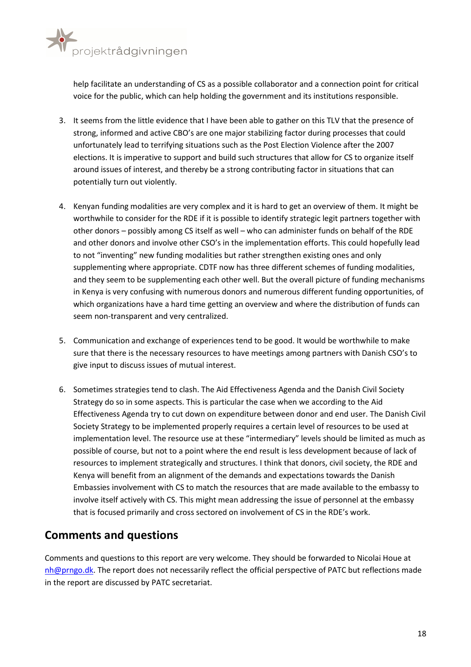

help facilitate an understanding of CS as a possible collaborator and a connection point for critical voice for the public, which can help holding the government and its institutions responsible.

- 3. It seems from the little evidence that I have been able to gather on this TLV that the presence of strong, informed and active CBO's are one major stabilizing factor during processes that could unfortunately lead to terrifying situations such as the Post Election Violence after the 2007 elections. It is imperative to support and build such structures that allow for CS to organize itself around issues of interest, and thereby be a strong contributing factor in situations that can potentially turn out violently.
- 4. Kenyan funding modalities are very complex and it is hard to get an overview of them. It might be worthwhile to consider for the RDE if it is possible to identify strategic legit partners together with other donors – possibly among CS itself as well – who can administer funds on behalf of the RDE and other donors and involve other CSO's in the implementation efforts. This could hopefully lead to not "inventing" new funding modalities but rather strengthen existing ones and only supplementing where appropriate. CDTF now has three different schemes of funding modalities, and they seem to be supplementing each other well. But the overall picture of funding mechanisms in Kenya is very confusing with numerous donors and numerous different funding opportunities, of which organizations have a hard time getting an overview and where the distribution of funds can seem non-transparent and very centralized.
- 5. Communication and exchange of experiences tend to be good. It would be worthwhile to make sure that there is the necessary resources to have meetings among partners with Danish CSO's to give input to discuss issues of mutual interest.
- 6. Sometimes strategies tend to clash. The Aid Effectiveness Agenda and the Danish Civil Society Strategy do so in some aspects. This is particular the case when we according to the Aid Effectiveness Agenda try to cut down on expenditure between donor and end user. The Danish Civil Society Strategy to be implemented properly requires a certain level of resources to be used at implementation level. The resource use at these "intermediary" levels should be limited as much as possible of course, but not to a point where the end result is less development because of lack of resources to implement strategically and structures. I think that donors, civil society, the RDE and Kenya will benefit from an alignment of the demands and expectations towards the Danish Embassies involvement with CS to match the resources that are made available to the embassy to involve itself actively with CS. This might mean addressing the issue of personnel at the embassy that is focused primarily and cross sectored on involvement of CS in the RDE's work.

# Comments and questions

Comments and questions to this report are very welcome. They should be forwarded to Nicolai Houe at nh@prngo.dk. The report does not necessarily reflect the official perspective of PATC but reflections made in the report are discussed by PATC secretariat.